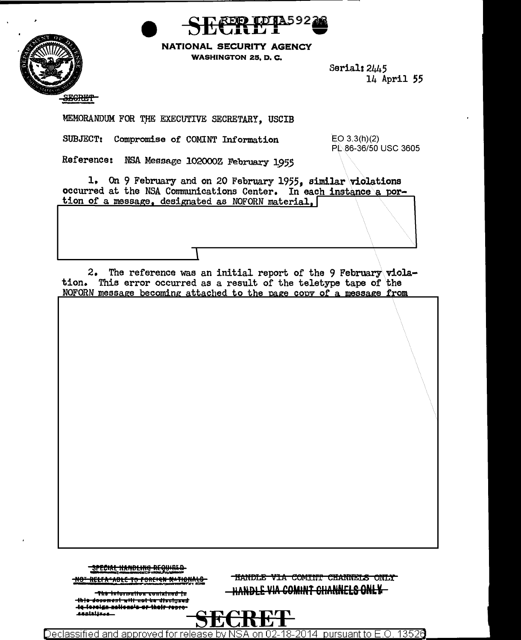EED LDIA592



NATIONAL SECURITY AGENCY

**WASHINGTON 25, D. C.** 

Serial: 2445 14 April 55

MEMORANDUM FOR THE EXECUTIVE SECRETARY. USCIB

**SUBJECT:** Compromise of COMINT Information  $EO$  3.3(h)(2) PL 86-36/50 USC 3605

Reference: NSA Message 102000Z February 1955

1. On 9 February and on 20 February 1955, similar violations occurred at the NSA Communications Center. In each instance a portion of a message, designated as NOFORN material.

2. The reference was an initial report of the 9 February violation. This error occurred as a result of the teletype tape of the NOFORN message becoming attached to the page copy of a message from

<u>-Special Handling Required</u>

NOT RELEASABLE TO FOREIGN NATIONA

The information contained in this document will not be discipact ta foreign nationale or their repro-

**HANDLE VIA COMINT CHANNELS ONLY** HANDLE VIA COMINT CHANNELS ONLY-



<u>on 02-18-2014 pursuant to E.O. 13526</u> Declassified and approved for release. hv NS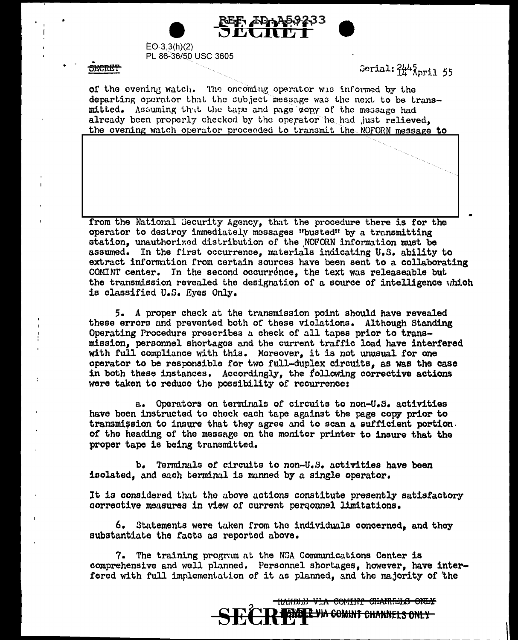

 $EO(3.3(h)(2))$ PL 86-36/50 USC 3605

<del>Secret</del>

ł

Serial: ?<sup>44</sup> Anril 55

of the evening watch. The oncoming operator wis informed by the departing operator that the subject message was the next to be transmitted. Assuming that the tape and page zopy of the message had already been properly checked by the operator he had just relieved. the evening watch operator proceeded to transmit the NOFORN message to

from the National Gecurity Agency, that the procedure there is for the operator to destroy immediately messages "busted" by a transmitting station, unauthorized distribution of the NOFORN information must be assumed. In the first occurrence, materials indicating U.S. ability to extract information from certain sources have been sent to a collaborating COMINT center. In the second occurrence, the text was releaseable but the transmission revealed the designation of a source of intelligence which is classified U.S. Eves Only.

5. A proper check at the transmission point should have revealed these errors and prevented both of these violations. Although Standing Operating Procedure prescribes a check of all tapes prior to transmission, personnel shortages and the current traffic load have interfered with full compliance with this. Moreover, it is not unusual for one operator to be responsible for two full-duplex circuits, as was the case in both these instances. Accordingly, the following corrective actions were taken to reduce the possibility of recurrence:

a. Operators on terminals of circuits to non-U.S. activities have been instructed to check each tape against the page copy prior to transmission to insure that they agree and to scan a sufficient portion. of the heading of the message on the monitor printer to insure that the proper tape is being transmitted.

b. Terminals of circuits to non-U.S. activities have been isolated, and each terminal is manned by a single operator.

It is considered that the above actions constitute presently satisfactory corrective measures in view of current personnel limitations.

6. Statements were taken from the individuals concerned, and they substantiate the facts as reported above.

7. The training program at the NSA Communications Center is comprehensive and well planned. Personnel shortages, however, have interfered with full implementation of it as planned, and the majority of the